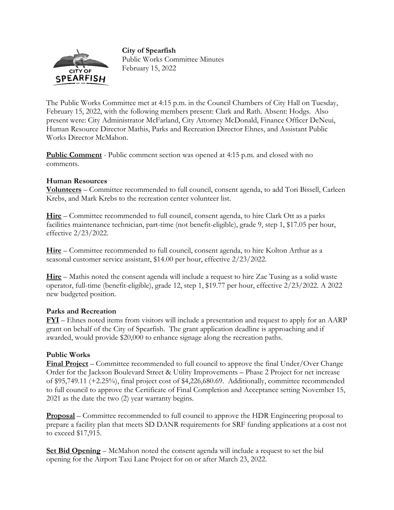

**City of Spearfish**  Public Works Committee Minutes February 15, 2022

The Public Works Committee met at 4:15 p.m. in the Council Chambers of City Hall on Tuesday, February 15, 2022, with the following members present: Clark and Rath. Absent: Hodgs. Also present were: City Administrator McFarland, City Attorney McDonald, Finance Officer DeNeui, Human Resource Director Mathis, Parks and Recreation Director Ehnes, and Assistant Public Works Director McMahon.

**Public Comment** - Public comment section was opened at 4:15 p.m. and closed with no comments.

## **Human Resources**

**Volunteers** – Committee recommended to full council, consent agenda, to add Tori Bissell, Carleen Krebs, and Mark Krebs to the recreation center volunteer list.

**Hire** – Committee recommended to full council, consent agenda, to hire Clark Ott as a parks facilities maintenance technician, part-time (not benefit-eligible), grade 9, step 1, \$17.05 per hour, effective 2/23/2022.

**Hire** – Committee recommended to full council, consent agenda, to hire Kolton Arthur as a seasonal customer service assistant, \$14.00 per hour, effective 2/23/2022.

**Hire** – Mathis noted the consent agenda will include a request to hire Zac Tusing as a solid waste operator, full-time (benefit-eligible), grade 12, step 1, \$19.77 per hour, effective 2/23/2022. A 2022 new budgeted position.

## **Parks and Recreation**

**FYI** – Ehnes noted items from visitors will include a presentation and request to apply for an AARP grant on behalf of the City of Spearfish. The grant application deadline is approaching and if awarded, would provide \$20,000 to enhance signage along the recreation paths.

## **Public Works**

**Final Project** – Committee recommended to full council to approve the final Under/Over Change Order for the Jackson Boulevard Street & Utility Improvements – Phase 2 Project for net increase of \$95,749.11 (+2.25%), final project cost of \$4,226,680.69. Additionally, committee recommended to full council to approve the Certificate of Final Completion and Acceptance setting November 15, 2021 as the date the two (2) year warranty begins.

**Proposal** – Committee recommended to full council to approve the HDR Engineering proposal to prepare a facility plan that meets SD DANR requirements for SRF funding applications at a cost not to exceed \$17,915.

**Set Bid Opening** – McMahon noted the consent agenda will include a request to set the bid opening for the Airport Taxi Lane Project for on or after March 23, 2022.